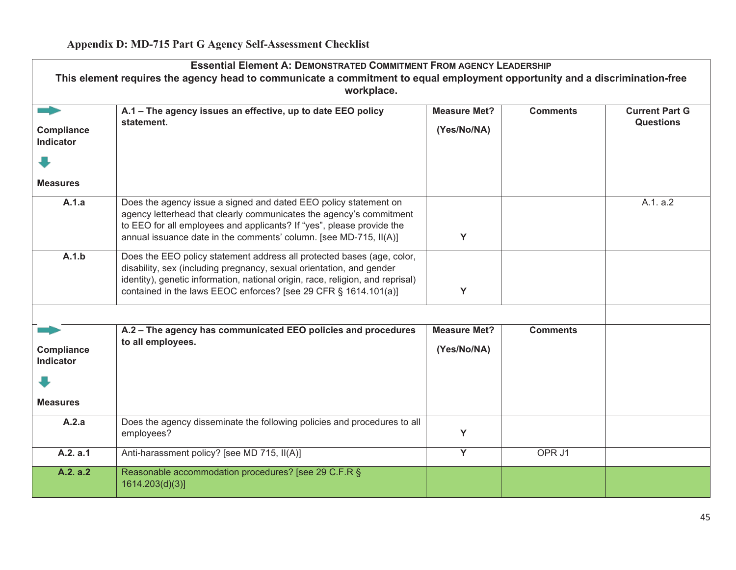| <b>Essential Element A: DEMONSTRATED COMMITMENT FROM AGENCY LEADERSHIP</b> |                                                                                                                                                |                     |                 |                       |
|----------------------------------------------------------------------------|------------------------------------------------------------------------------------------------------------------------------------------------|---------------------|-----------------|-----------------------|
|                                                                            | This element requires the agency head to communicate a commitment to equal employment opportunity and a discrimination-free                    |                     |                 |                       |
|                                                                            | workplace.                                                                                                                                     |                     |                 |                       |
|                                                                            | A.1 - The agency issues an effective, up to date EEO policy                                                                                    | <b>Measure Met?</b> | <b>Comments</b> | <b>Current Part G</b> |
| Compliance                                                                 | statement.                                                                                                                                     | (Yes/No/NA)         |                 | <b>Questions</b>      |
| <b>Indicator</b>                                                           |                                                                                                                                                |                     |                 |                       |
|                                                                            |                                                                                                                                                |                     |                 |                       |
| <b>Measures</b>                                                            |                                                                                                                                                |                     |                 |                       |
| A.1.a                                                                      | Does the agency issue a signed and dated EEO policy statement on                                                                               |                     |                 | A.1. a.2              |
|                                                                            | agency letterhead that clearly communicates the agency's commitment<br>to EEO for all employees and applicants? If "yes", please provide the   |                     |                 |                       |
|                                                                            | annual issuance date in the comments' column. [see MD-715, II(A)]                                                                              | Y                   |                 |                       |
|                                                                            |                                                                                                                                                |                     |                 |                       |
| A.1.b                                                                      | Does the EEO policy statement address all protected bases (age, color,<br>disability, sex (including pregnancy, sexual orientation, and gender |                     |                 |                       |
|                                                                            | identity), genetic information, national origin, race, religion, and reprisal)                                                                 |                     |                 |                       |
|                                                                            | contained in the laws EEOC enforces? [see 29 CFR § 1614.101(a)]                                                                                | Y                   |                 |                       |
|                                                                            |                                                                                                                                                |                     |                 |                       |
|                                                                            | A.2 - The agency has communicated EEO policies and procedures                                                                                  | <b>Measure Met?</b> | <b>Comments</b> |                       |
| Compliance                                                                 | to all employees.                                                                                                                              | (Yes/No/NA)         |                 |                       |
| <b>Indicator</b>                                                           |                                                                                                                                                |                     |                 |                       |
|                                                                            |                                                                                                                                                |                     |                 |                       |
| <b>Measures</b>                                                            |                                                                                                                                                |                     |                 |                       |
| A.2.a                                                                      | Does the agency disseminate the following policies and procedures to all<br>employees?                                                         | Y                   |                 |                       |
|                                                                            |                                                                                                                                                |                     |                 |                       |
| A.2. a.1                                                                   | Anti-harassment policy? [see MD 715, II(A)]                                                                                                    | $\overline{Y}$      | OPR J1          |                       |
| A.2. a.2                                                                   | Reasonable accommodation procedures? [see 29 C.F.R §<br>1614.203(d)(3)]                                                                        |                     |                 |                       |
|                                                                            |                                                                                                                                                |                     |                 |                       |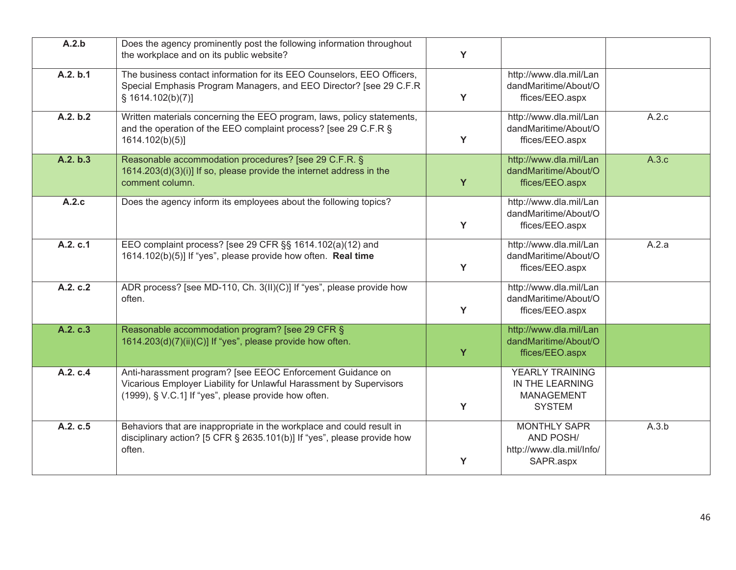| A.2.b    | Does the agency prominently post the following information throughout<br>the workplace and on its public website?                                                                         | Y |                                                                                 |       |
|----------|-------------------------------------------------------------------------------------------------------------------------------------------------------------------------------------------|---|---------------------------------------------------------------------------------|-------|
| A.2. b.1 | The business contact information for its EEO Counselors, EEO Officers,<br>Special Emphasis Program Managers, and EEO Director? [see 29 C.F.R<br>\$1614.102(b)(7)]                         | Y | http://www.dla.mil/Lan<br>dandMaritime/About/O<br>ffices/EEO.aspx               |       |
| A.2. b.2 | Written materials concerning the EEO program, laws, policy statements,<br>and the operation of the EEO complaint process? [see 29 C.F.R §<br>1614.102(b)(5)]                              | Y | http://www.dla.mil/Lan<br>dandMaritime/About/O<br>ffices/EEO.aspx               | A.2.c |
| A.2. b.3 | Reasonable accommodation procedures? [see 29 C.F.R. §<br>1614.203(d)(3)(i)] If so, please provide the internet address in the<br>comment column.                                          | Y | http://www.dla.mil/Lan<br>dandMaritime/About/O<br>ffices/EEO.aspx               | A.3.c |
| A.2.c    | Does the agency inform its employees about the following topics?                                                                                                                          | Y | http://www.dla.mil/Lan<br>dandMaritime/About/O<br>ffices/EEO.aspx               |       |
| A.2. c.1 | EEO complaint process? [see 29 CFR §§ 1614.102(a)(12) and<br>1614.102(b)(5)] If "yes", please provide how often. Real time                                                                | Y | http://www.dla.mil/Lan<br>dandMaritime/About/O<br>ffices/EEO.aspx               | A.2.a |
| A.2. c.2 | ADR process? [see MD-110, Ch. 3(II)(C)] If "yes", please provide how<br>often.                                                                                                            | Y | http://www.dla.mil/Lan<br>dandMaritime/About/O<br>ffices/EEO.aspx               |       |
| A.2. c.3 | Reasonable accommodation program? [see 29 CFR §<br>1614.203(d)(7)(ii)(C)] If "yes", please provide how often.                                                                             | Y | http://www.dla.mil/Lan<br>dandMaritime/About/O<br>ffices/EEO.aspx               |       |
| A.2. c.4 | Anti-harassment program? [see EEOC Enforcement Guidance on<br>Vicarious Employer Liability for Unlawful Harassment by Supervisors<br>(1999), § V.C.1] If "yes", please provide how often. | Y | <b>YEARLY TRAINING</b><br>IN THE LEARNING<br><b>MANAGEMENT</b><br><b>SYSTEM</b> |       |
| A.2. c.5 | Behaviors that are inappropriate in the workplace and could result in<br>disciplinary action? [5 CFR § 2635.101(b)] If "yes", please provide how<br>often.                                | Y | <b>MONTHLY SAPR</b><br>AND POSH/<br>http://www.dla.mil/Info/<br>SAPR.aspx       | A.3.b |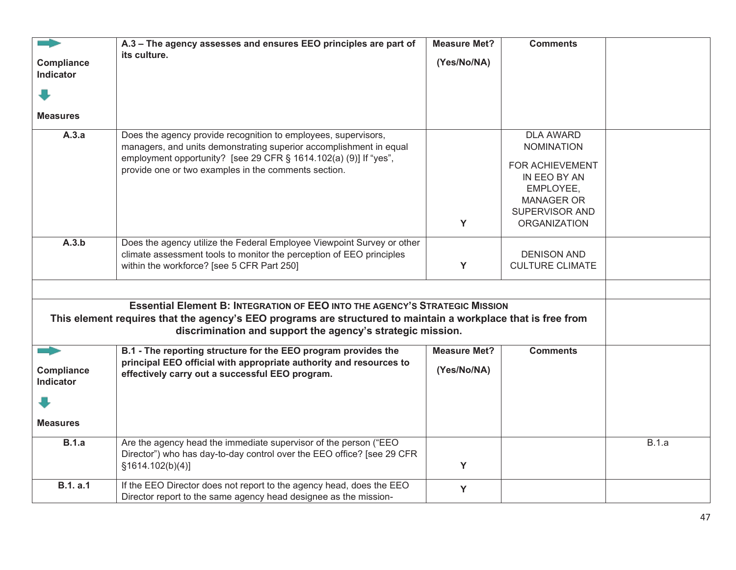|                   | A.3 - The agency assesses and ensures EEO principles are part of                                              | <b>Measure Met?</b> | <b>Comments</b>        |              |
|-------------------|---------------------------------------------------------------------------------------------------------------|---------------------|------------------------|--------------|
|                   |                                                                                                               |                     |                        |              |
| Compliance        | its culture.                                                                                                  | (Yes/No/NA)         |                        |              |
| <b>Indicator</b>  |                                                                                                               |                     |                        |              |
|                   |                                                                                                               |                     |                        |              |
|                   |                                                                                                               |                     |                        |              |
|                   |                                                                                                               |                     |                        |              |
| <b>Measures</b>   |                                                                                                               |                     |                        |              |
|                   |                                                                                                               |                     |                        |              |
| A.3.a             | Does the agency provide recognition to employees, supervisors,                                                |                     | <b>DLA AWARD</b>       |              |
|                   | managers, and units demonstrating superior accomplishment in equal                                            |                     | <b>NOMINATION</b>      |              |
|                   |                                                                                                               |                     |                        |              |
|                   | employment opportunity? [see 29 CFR § 1614.102(a) (9)] If "yes",                                              |                     | FOR ACHIEVEMENT        |              |
|                   | provide one or two examples in the comments section.                                                          |                     | IN EEO BY AN           |              |
|                   |                                                                                                               |                     |                        |              |
|                   |                                                                                                               |                     | EMPLOYEE,              |              |
|                   |                                                                                                               |                     | <b>MANAGER OR</b>      |              |
|                   |                                                                                                               |                     | SUPERVISOR AND         |              |
|                   |                                                                                                               | Y                   | <b>ORGANIZATION</b>    |              |
|                   |                                                                                                               |                     |                        |              |
| A.3.b             | Does the agency utilize the Federal Employee Viewpoint Survey or other                                        |                     |                        |              |
|                   | climate assessment tools to monitor the perception of EEO principles                                          |                     | <b>DENISON AND</b>     |              |
|                   | within the workforce? [see 5 CFR Part 250]                                                                    | Y                   | <b>CULTURE CLIMATE</b> |              |
|                   |                                                                                                               |                     |                        |              |
|                   |                                                                                                               |                     |                        |              |
|                   | <b>Essential Element B: INTEGRATION OF EEO INTO THE AGENCY'S STRATEGIC MISSION</b>                            |                     |                        |              |
|                   | This element requires that the agency's EEO programs are structured to maintain a workplace that is free from |                     |                        |              |
|                   |                                                                                                               |                     |                        |              |
|                   | discrimination and support the agency's strategic mission.                                                    |                     |                        |              |
|                   | B.1 - The reporting structure for the EEO program provides the                                                | <b>Measure Met?</b> | <b>Comments</b>        |              |
|                   | principal EEO official with appropriate authority and resources to                                            |                     |                        |              |
| <b>Compliance</b> | effectively carry out a successful EEO program.                                                               | (Yes/No/NA)         |                        |              |
| Indicator         |                                                                                                               |                     |                        |              |
|                   |                                                                                                               |                     |                        |              |
|                   |                                                                                                               |                     |                        |              |
| <b>Measures</b>   |                                                                                                               |                     |                        |              |
| <b>B.1.a</b>      | Are the agency head the immediate supervisor of the person ("EEO                                              |                     |                        | <b>B.1.a</b> |
|                   | Director") who has day-to-day control over the EEO office? [see 29 CFR                                        |                     |                        |              |
|                   | §1614.102(b)(4)]                                                                                              | Y                   |                        |              |
|                   |                                                                                                               |                     |                        |              |
| <b>B.1.a.1</b>    | If the EEO Director does not report to the agency head, does the EEO                                          | Y                   |                        |              |
|                   | Director report to the same agency head designee as the mission-                                              |                     |                        |              |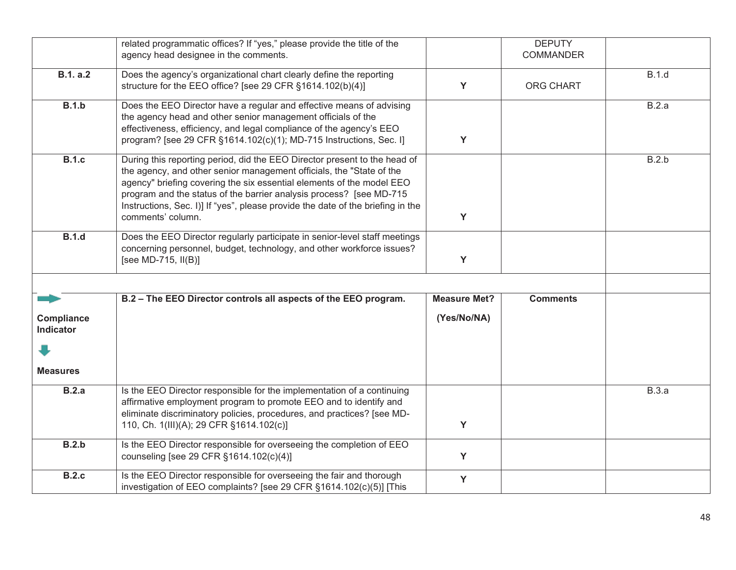|                         | related programmatic offices? If "yes," please provide the title of the<br>agency head designee in the comments.                                                                                                                                                                                                                                                                                          |                     | <b>DEPUTY</b><br><b>COMMANDER</b> |              |
|-------------------------|-----------------------------------------------------------------------------------------------------------------------------------------------------------------------------------------------------------------------------------------------------------------------------------------------------------------------------------------------------------------------------------------------------------|---------------------|-----------------------------------|--------------|
| <b>B.1. a.2</b>         | Does the agency's organizational chart clearly define the reporting<br>structure for the EEO office? [see 29 CFR §1614.102(b)(4)]                                                                                                                                                                                                                                                                         | Y                   | ORG CHART                         | <b>B.1.d</b> |
| B.1.b                   | Does the EEO Director have a regular and effective means of advising<br>the agency head and other senior management officials of the<br>effectiveness, efficiency, and legal compliance of the agency's EEO<br>program? [see 29 CFR §1614.102(c)(1); MD-715 Instructions, Sec. I]                                                                                                                         | Y                   |                                   | B.2.a        |
| <b>B.1.c</b>            | During this reporting period, did the EEO Director present to the head of<br>the agency, and other senior management officials, the "State of the<br>agency" briefing covering the six essential elements of the model EEO<br>program and the status of the barrier analysis process? [see MD-715<br>Instructions, Sec. I)] If "yes", please provide the date of the briefing in the<br>comments' column. | Y                   |                                   | B.2.b        |
| <b>B.1.d</b>            | Does the EEO Director regularly participate in senior-level staff meetings<br>concerning personnel, budget, technology, and other workforce issues?<br>[see MD-715, II(B)]                                                                                                                                                                                                                                | Y                   |                                   |              |
|                         |                                                                                                                                                                                                                                                                                                                                                                                                           |                     |                                   |              |
|                         | B.2 - The EEO Director controls all aspects of the EEO program.                                                                                                                                                                                                                                                                                                                                           | <b>Measure Met?</b> | <b>Comments</b>                   |              |
| Compliance<br>Indicator |                                                                                                                                                                                                                                                                                                                                                                                                           | (Yes/No/NA)         |                                   |              |
|                         |                                                                                                                                                                                                                                                                                                                                                                                                           |                     |                                   |              |
| <b>Measures</b>         |                                                                                                                                                                                                                                                                                                                                                                                                           |                     |                                   |              |
| B.2.a                   | Is the EEO Director responsible for the implementation of a continuing<br>affirmative employment program to promote EEO and to identify and<br>eliminate discriminatory policies, procedures, and practices? [see MD-                                                                                                                                                                                     |                     |                                   | <b>B.3.a</b> |
|                         | 110, Ch. 1(III)(A); 29 CFR §1614.102(c)]                                                                                                                                                                                                                                                                                                                                                                  | Y                   |                                   |              |
| B.2.b                   | Is the EEO Director responsible for overseeing the completion of EEO<br>counseling [see 29 CFR §1614.102(c)(4)]                                                                                                                                                                                                                                                                                           | Y                   |                                   |              |
| <b>B.2.c</b>            | Is the EEO Director responsible for overseeing the fair and thorough<br>investigation of EEO complaints? [see 29 CFR §1614.102(c)(5)] [This                                                                                                                                                                                                                                                               | Y                   |                                   |              |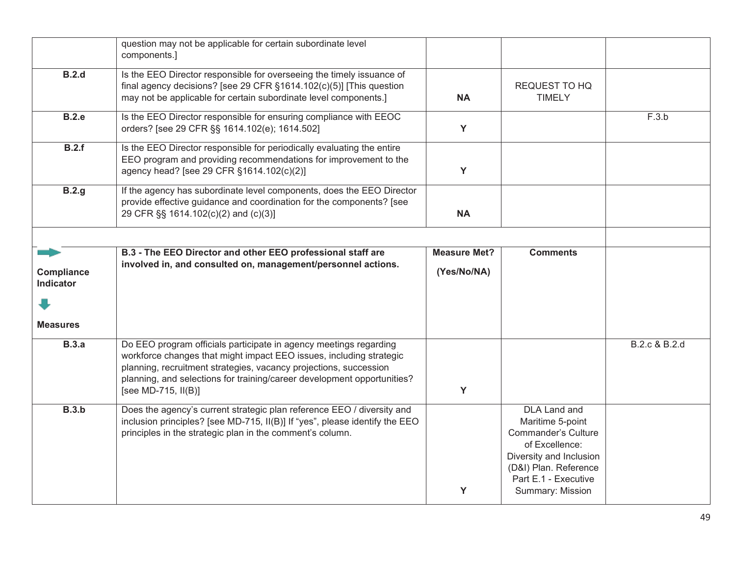|                                | question may not be applicable for certain subordinate level<br>components.]                                                                                                                                                                                                                                    |                                    |                                                                                                                                                              |               |
|--------------------------------|-----------------------------------------------------------------------------------------------------------------------------------------------------------------------------------------------------------------------------------------------------------------------------------------------------------------|------------------------------------|--------------------------------------------------------------------------------------------------------------------------------------------------------------|---------------|
| <b>B.2.d</b>                   | Is the EEO Director responsible for overseeing the timely issuance of<br>final agency decisions? [see 29 CFR §1614.102(c)(5)] [This question<br>may not be applicable for certain subordinate level components.]                                                                                                | <b>NA</b>                          | REQUEST TO HQ<br><b>TIMELY</b>                                                                                                                               |               |
| <b>B.2.e</b>                   | Is the EEO Director responsible for ensuring compliance with EEOC<br>orders? [see 29 CFR §§ 1614.102(e); 1614.502]                                                                                                                                                                                              | Y                                  |                                                                                                                                                              | F.3.b         |
| B.2.f                          | Is the EEO Director responsible for periodically evaluating the entire<br>EEO program and providing recommendations for improvement to the<br>agency head? [see 29 CFR §1614.102(c)(2)]                                                                                                                         | Y                                  |                                                                                                                                                              |               |
| B.2.g                          | If the agency has subordinate level components, does the EEO Director<br>provide effective guidance and coordination for the components? [see<br>29 CFR §§ 1614.102(c)(2) and (c)(3)]                                                                                                                           | <b>NA</b>                          |                                                                                                                                                              |               |
|                                |                                                                                                                                                                                                                                                                                                                 |                                    |                                                                                                                                                              |               |
| Compliance<br><b>Indicator</b> | B.3 - The EEO Director and other EEO professional staff are<br>involved in, and consulted on, management/personnel actions.                                                                                                                                                                                     | <b>Measure Met?</b><br>(Yes/No/NA) | <b>Comments</b>                                                                                                                                              |               |
| <b>Measures</b>                |                                                                                                                                                                                                                                                                                                                 |                                    |                                                                                                                                                              |               |
| <b>B.3.a</b>                   | Do EEO program officials participate in agency meetings regarding<br>workforce changes that might impact EEO issues, including strategic<br>planning, recruitment strategies, vacancy projections, succession<br>planning, and selections for training/career development opportunities?<br>[see MD-715, II(B)] | Y                                  |                                                                                                                                                              | B.2.c & B.2.d |
| B.3.b                          | Does the agency's current strategic plan reference EEO / diversity and<br>inclusion principles? [see MD-715, II(B)] If "yes", please identify the EEO<br>principles in the strategic plan in the comment's column.                                                                                              |                                    | DLA Land and<br>Maritime 5-point<br><b>Commander's Culture</b><br>of Excellence:<br>Diversity and Inclusion<br>(D&I) Plan. Reference<br>Part E.1 - Executive |               |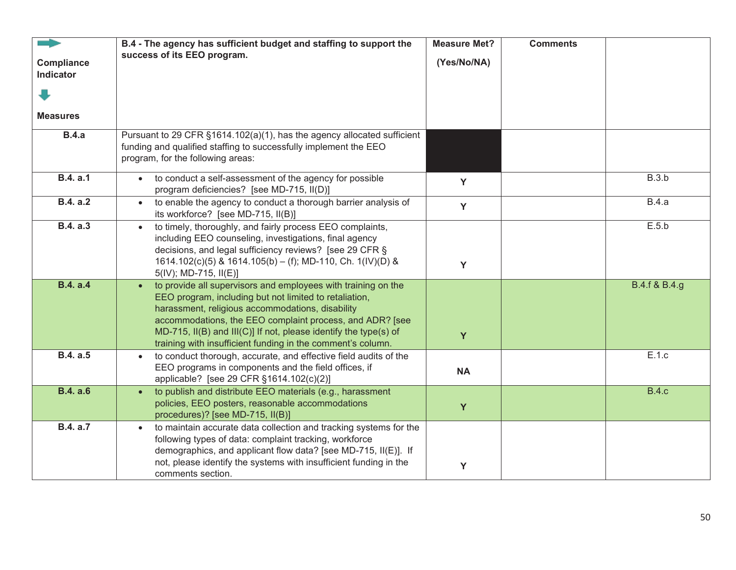| Compliance<br>Indicator<br><b>Measures</b> | B.4 - The agency has sufficient budget and staffing to support the<br>success of its EEO program.                                                                                                                                                                                                                                                                          | <b>Measure Met?</b><br>(Yes/No/NA) | <b>Comments</b> |               |
|--------------------------------------------|----------------------------------------------------------------------------------------------------------------------------------------------------------------------------------------------------------------------------------------------------------------------------------------------------------------------------------------------------------------------------|------------------------------------|-----------------|---------------|
| <b>B.4.a</b>                               | Pursuant to 29 CFR §1614.102(a)(1), has the agency allocated sufficient<br>funding and qualified staffing to successfully implement the EEO<br>program, for the following areas:                                                                                                                                                                                           |                                    |                 |               |
| <b>B.4. a.1</b>                            | to conduct a self-assessment of the agency for possible<br>program deficiencies? [see MD-715, II(D)]                                                                                                                                                                                                                                                                       | Y                                  |                 | B.3.b         |
| B.4. a.2                                   | to enable the agency to conduct a thorough barrier analysis of<br>$\bullet$<br>its workforce? [see MD-715, II(B)]                                                                                                                                                                                                                                                          | Y                                  |                 | <b>B.4.a</b>  |
| <b>B.4. a.3</b>                            | to timely, thoroughly, and fairly process EEO complaints,<br>including EEO counseling, investigations, final agency<br>decisions, and legal sufficiency reviews? [see 29 CFR §<br>1614.102(c)(5) & 1614.105(b) - (f); MD-110, Ch. 1(IV)(D) &<br>$5(IV)$ ; MD-715, II(E)]                                                                                                   | Y                                  |                 | E.5.b         |
| <b>B.4. a.4</b>                            | to provide all supervisors and employees with training on the<br>EEO program, including but not limited to retaliation,<br>harassment, religious accommodations, disability<br>accommodations, the EEO complaint process, and ADR? [see<br>MD-715, II(B) and III(C)] If not, please identify the type(s) of<br>training with insufficient funding in the comment's column. | Y                                  |                 | B.4.f & B.4.g |
| <b>B.4. a.5</b>                            | to conduct thorough, accurate, and effective field audits of the<br>EEO programs in components and the field offices, if<br>applicable? [see 29 CFR §1614.102(c)(2)]                                                                                                                                                                                                       | <b>NA</b>                          |                 | E.1.c         |
| <b>B.4. a.6</b>                            | to publish and distribute EEO materials (e.g., harassment<br>$\bullet$<br>policies, EEO posters, reasonable accommodations<br>procedures)? [see MD-715, II(B)]                                                                                                                                                                                                             | Y                                  |                 | <b>B.4.c</b>  |
| B.4. a.7                                   | to maintain accurate data collection and tracking systems for the<br>following types of data: complaint tracking, workforce<br>demographics, and applicant flow data? [see MD-715, II(E)]. If<br>not, please identify the systems with insufficient funding in the<br>comments section.                                                                                    | Y                                  |                 |               |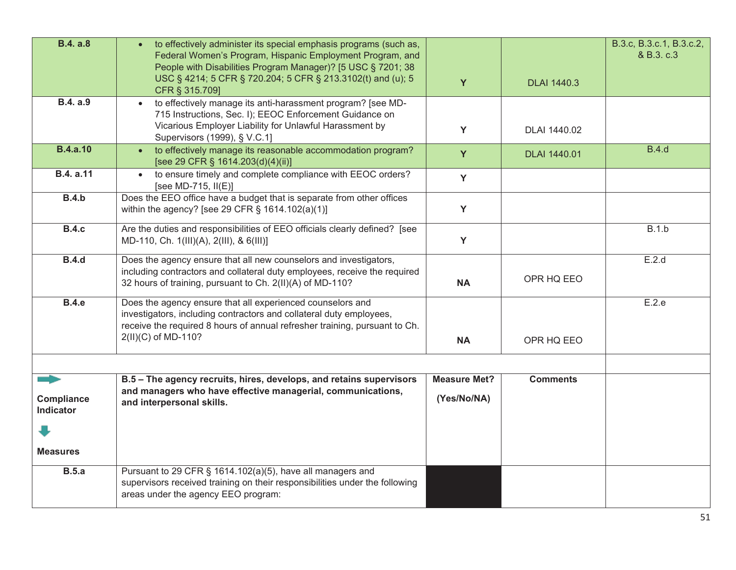| <b>B.4. a.8</b>                       | to effectively administer its special emphasis programs (such as,                                                                                 |                     |                     | B.3.c, B.3.c.1, B.3.c.2, |
|---------------------------------------|---------------------------------------------------------------------------------------------------------------------------------------------------|---------------------|---------------------|--------------------------|
|                                       | Federal Women's Program, Hispanic Employment Program, and                                                                                         |                     |                     | & B.3. c.3               |
|                                       | People with Disabilities Program Manager)? [5 USC § 7201; 38<br>USC § 4214; 5 CFR § 720.204; 5 CFR § 213.3102(t) and (u); 5                       |                     |                     |                          |
|                                       | CFR § 315.709]                                                                                                                                    | Y                   | <b>DLAI 1440.3</b>  |                          |
| <b>B.4.</b> a.9                       | • to effectively manage its anti-harassment program? [see MD-                                                                                     |                     |                     |                          |
|                                       | 715 Instructions, Sec. I); EEOC Enforcement Guidance on<br>Vicarious Employer Liability for Unlawful Harassment by                                |                     |                     |                          |
|                                       | Supervisors (1999), § V.C.1]                                                                                                                      | Y                   | DLAI 1440.02        |                          |
| <b>B.4.a.10</b>                       | to effectively manage its reasonable accommodation program?<br>[see 29 CFR § 1614.203(d)(4)(ii)]                                                  | Y                   | <b>DLAI 1440.01</b> | <b>B.4.d</b>             |
| <b>B.4. a.11</b>                      | to ensure timely and complete compliance with EEOC orders?<br>$\bullet$<br>[see MD-715, II(E)]                                                    | Y                   |                     |                          |
| <b>B.4.b</b>                          | Does the EEO office have a budget that is separate from other offices<br>within the agency? [see 29 CFR § 1614.102(a)(1)]                         | Y                   |                     |                          |
| <b>B.4.c</b>                          | Are the duties and responsibilities of EEO officials clearly defined? [see<br>MD-110, Ch. 1(III)(A), 2(III), & 6(III)]                            | Y                   |                     | B.1.b                    |
| <b>B.4.d</b>                          | Does the agency ensure that all new counselors and investigators,                                                                                 |                     |                     | E.2.d                    |
|                                       | including contractors and collateral duty employees, receive the required                                                                         |                     | OPR HQ EEO          |                          |
|                                       | 32 hours of training, pursuant to Ch. 2(II)(A) of MD-110?                                                                                         | <b>NA</b>           |                     |                          |
| <b>B.4.e</b>                          | Does the agency ensure that all experienced counselors and                                                                                        |                     |                     | E.2.e                    |
|                                       | investigators, including contractors and collateral duty employees,<br>receive the required 8 hours of annual refresher training, pursuant to Ch. |                     |                     |                          |
|                                       | 2(II)(C) of MD-110?                                                                                                                               | <b>NA</b>           | OPR HQ EEO          |                          |
|                                       |                                                                                                                                                   |                     |                     |                          |
| and the contract of                   | B.5 - The agency recruits, hires, develops, and retains supervisors                                                                               | <b>Measure Met?</b> | <b>Comments</b>     |                          |
| <b>Compliance</b><br><b>Indicator</b> | and managers who have effective managerial, communications,<br>and interpersonal skills.                                                          | (Yes/No/NA)         |                     |                          |
|                                       |                                                                                                                                                   |                     |                     |                          |
| <b>Measures</b>                       |                                                                                                                                                   |                     |                     |                          |
| B.5.a                                 | Pursuant to 29 CFR § 1614.102(a)(5), have all managers and                                                                                        |                     |                     |                          |
|                                       | supervisors received training on their responsibilities under the following<br>areas under the agency EEO program:                                |                     |                     |                          |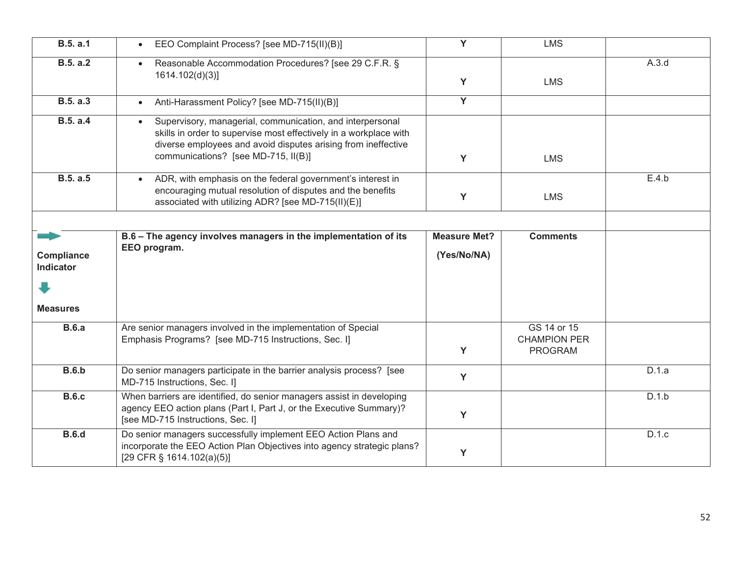| <b>B.5. a.1</b>                | EEO Complaint Process? [see MD-715(II)(B)]                                                                                                                                                                                             | Y                                  | <b>LMS</b>                                           |       |
|--------------------------------|----------------------------------------------------------------------------------------------------------------------------------------------------------------------------------------------------------------------------------------|------------------------------------|------------------------------------------------------|-------|
| <b>B.5. a.2</b>                | • Reasonable Accommodation Procedures? [see 29 C.F.R. §<br>1614.102(d)(3)                                                                                                                                                              | Y                                  | <b>LMS</b>                                           | A.3.d |
| <b>B.5. a.3</b>                | Anti-Harassment Policy? [see MD-715(II)(B)]                                                                                                                                                                                            | Y                                  |                                                      |       |
| <b>B.5. a.4</b>                | Supervisory, managerial, communication, and interpersonal<br>skills in order to supervise most effectively in a workplace with<br>diverse employees and avoid disputes arising from ineffective<br>communications? [see MD-715, II(B)] | Y                                  | <b>LMS</b>                                           |       |
| B.5. a.5                       | • ADR, with emphasis on the federal government's interest in<br>encouraging mutual resolution of disputes and the benefits<br>associated with utilizing ADR? [see MD-715(II)(E)]                                                       | Y                                  | <b>LMS</b>                                           | E.4.b |
|                                |                                                                                                                                                                                                                                        |                                    |                                                      |       |
| Compliance<br><b>Indicator</b> | B.6 - The agency involves managers in the implementation of its<br>EEO program.                                                                                                                                                        | <b>Measure Met?</b><br>(Yes/No/NA) | <b>Comments</b>                                      |       |
|                                |                                                                                                                                                                                                                                        |                                    |                                                      |       |
| <b>Measures</b>                |                                                                                                                                                                                                                                        |                                    |                                                      |       |
| <b>B.6.a</b>                   | Are senior managers involved in the implementation of Special<br>Emphasis Programs? [see MD-715 Instructions, Sec. I]                                                                                                                  | Y                                  | GS 14 or 15<br><b>CHAMPION PER</b><br><b>PROGRAM</b> |       |
| <b>B.6.b</b>                   | Do senior managers participate in the barrier analysis process? [see<br>MD-715 Instructions, Sec. I]                                                                                                                                   | Y                                  |                                                      | D.1.a |
| <b>B.6.c</b>                   | When barriers are identified, do senior managers assist in developing<br>agency EEO action plans (Part I, Part J, or the Executive Summary)?<br>[see MD-715 Instructions, Sec. I]                                                      | Y                                  |                                                      | D.1.b |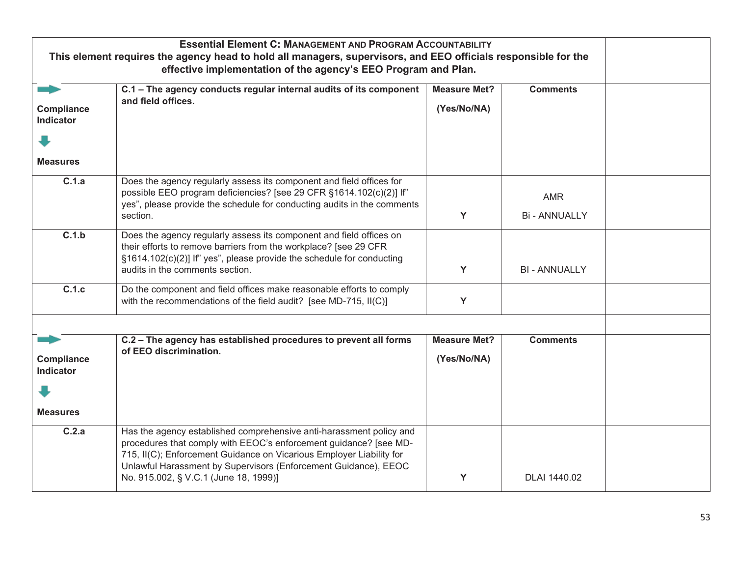|                                       | <b>Essential Element C: MANAGEMENT AND PROGRAM ACCOUNTABILITY</b>                                                                                                                                                                                                                                                            |                     |                                  |  |
|---------------------------------------|------------------------------------------------------------------------------------------------------------------------------------------------------------------------------------------------------------------------------------------------------------------------------------------------------------------------------|---------------------|----------------------------------|--|
|                                       | This element requires the agency head to hold all managers, supervisors, and EEO officials responsible for the                                                                                                                                                                                                               |                     |                                  |  |
|                                       | effective implementation of the agency's EEO Program and Plan.                                                                                                                                                                                                                                                               |                     |                                  |  |
|                                       | C.1 - The agency conducts regular internal audits of its component                                                                                                                                                                                                                                                           | <b>Measure Met?</b> | <b>Comments</b>                  |  |
| Compliance<br><b>Indicator</b>        | and field offices.                                                                                                                                                                                                                                                                                                           | (Yes/No/NA)         |                                  |  |
|                                       |                                                                                                                                                                                                                                                                                                                              |                     |                                  |  |
| <b>Measures</b>                       |                                                                                                                                                                                                                                                                                                                              |                     |                                  |  |
| C.1.a                                 | Does the agency regularly assess its component and field offices for<br>possible EEO program deficiencies? [see 29 CFR §1614.102(c)(2)] If"<br>yes", please provide the schedule for conducting audits in the comments<br>section.                                                                                           | Y                   | <b>AMR</b><br><b>Bi-ANNUALLY</b> |  |
| C.1.b                                 | Does the agency regularly assess its component and field offices on<br>their efforts to remove barriers from the workplace? [see 29 CFR<br>§1614.102(c)(2)] If" yes", please provide the schedule for conducting<br>audits in the comments section.                                                                          | Y                   | <b>BI - ANNUALLY</b>             |  |
| C.1.c                                 | Do the component and field offices make reasonable efforts to comply<br>with the recommendations of the field audit? [see MD-715, II(C)]                                                                                                                                                                                     | Y                   |                                  |  |
|                                       |                                                                                                                                                                                                                                                                                                                              |                     |                                  |  |
|                                       | C.2 - The agency has established procedures to prevent all forms                                                                                                                                                                                                                                                             | <b>Measure Met?</b> | <b>Comments</b>                  |  |
| <b>Compliance</b><br><b>Indicator</b> | of EEO discrimination.                                                                                                                                                                                                                                                                                                       | (Yes/No/NA)         |                                  |  |
|                                       |                                                                                                                                                                                                                                                                                                                              |                     |                                  |  |
| <b>Measures</b>                       |                                                                                                                                                                                                                                                                                                                              |                     |                                  |  |
| C.2.a                                 | Has the agency established comprehensive anti-harassment policy and<br>procedures that comply with EEOC's enforcement guidance? [see MD-<br>715, II(C); Enforcement Guidance on Vicarious Employer Liability for<br>Unlawful Harassment by Supervisors (Enforcement Guidance), EEOC<br>No. 915.002, § V.C.1 (June 18, 1999)] | Y                   | DLAI 1440.02                     |  |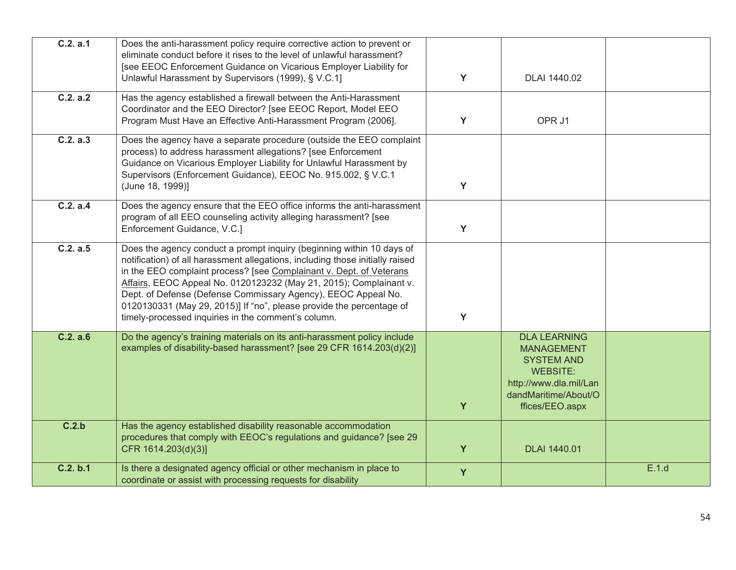| C.2. a.1 | Does the anti-harassment policy require corrective action to prevent or<br>eliminate conduct before it rises to the level of unlawful harassment?<br>[see EEOC Enforcement Guidance on Vicarious Employer Liability for<br>Unlawful Harassment by Supervisors (1999), § V.C.1]                                                                                                                                                                                                                      | Y | DLAI 1440.02                                                                                                                                          |       |
|----------|-----------------------------------------------------------------------------------------------------------------------------------------------------------------------------------------------------------------------------------------------------------------------------------------------------------------------------------------------------------------------------------------------------------------------------------------------------------------------------------------------------|---|-------------------------------------------------------------------------------------------------------------------------------------------------------|-------|
| C.2. a.2 | Has the agency established a firewall between the Anti-Harassment<br>Coordinator and the EEO Director? [see EEOC Report, Model EEO<br>Program Must Have an Effective Anti-Harassment Program (2006).                                                                                                                                                                                                                                                                                                | Y | OPR J1                                                                                                                                                |       |
| C.2. a.3 | Does the agency have a separate procedure (outside the EEO complaint<br>process) to address harassment allegations? [see Enforcement<br>Guidance on Vicarious Employer Liability for Unlawful Harassment by<br>Supervisors (Enforcement Guidance), EEOC No. 915.002, § V.C.1<br>(June 18, 1999)]                                                                                                                                                                                                    | Y |                                                                                                                                                       |       |
| C.2. a.4 | Does the agency ensure that the EEO office informs the anti-harassment<br>program of all EEO counseling activity alleging harassment? [see<br>Enforcement Guidance, V.C.]                                                                                                                                                                                                                                                                                                                           | Y |                                                                                                                                                       |       |
| C.2. a.5 | Does the agency conduct a prompt inquiry (beginning within 10 days of<br>notification) of all harassment allegations, including those initially raised<br>in the EEO complaint process? [see Complainant v. Dept. of Veterans<br>Affairs, EEOC Appeal No. 0120123232 (May 21, 2015); Complainant v.<br>Dept. of Defense (Defense Commissary Agency), EEOC Appeal No.<br>0120130331 (May 29, 2015)] If "no", please provide the percentage of<br>timely-processed inquiries in the comment's column. | Y |                                                                                                                                                       |       |
| C.2. a.6 | Do the agency's training materials on its anti-harassment policy include<br>examples of disability-based harassment? [see 29 CFR 1614.203(d)(2)]                                                                                                                                                                                                                                                                                                                                                    | Y | <b>DLA LEARNING</b><br><b>MANAGEMENT</b><br><b>SYSTEM AND</b><br><b>WEBSITE:</b><br>http://www.dla.mil/Lan<br>dandMaritime/About/O<br>ffices/EEO.aspx |       |
| C.2.b    | Has the agency established disability reasonable accommodation<br>procedures that comply with EEOC's regulations and guidance? [see 29<br>CFR 1614.203(d)(3)]                                                                                                                                                                                                                                                                                                                                       | Y | <b>DLAI 1440.01</b>                                                                                                                                   |       |
| C.2. b.1 | Is there a designated agency official or other mechanism in place to<br>coordinate or assist with processing requests for disability                                                                                                                                                                                                                                                                                                                                                                | Y |                                                                                                                                                       | E.1.d |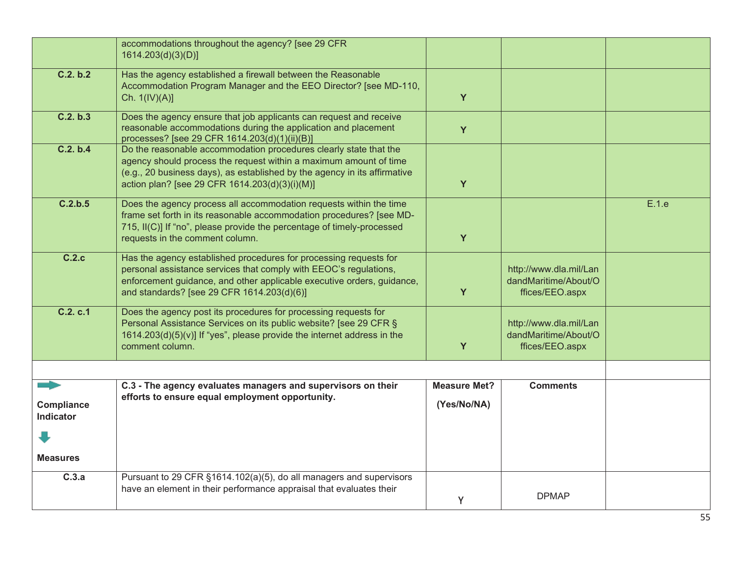|                                | accommodations throughout the agency? [see 29 CFR<br>1614.203(d)(3)(D)]                                                                                                                                                                                               |                     |                                                                   |       |
|--------------------------------|-----------------------------------------------------------------------------------------------------------------------------------------------------------------------------------------------------------------------------------------------------------------------|---------------------|-------------------------------------------------------------------|-------|
|                                |                                                                                                                                                                                                                                                                       |                     |                                                                   |       |
| C.2. b.2                       | Has the agency established a firewall between the Reasonable<br>Accommodation Program Manager and the EEO Director? [see MD-110,<br>Ch. 1(IV)(A)]                                                                                                                     | Y                   |                                                                   |       |
| C.2. b.3                       | Does the agency ensure that job applicants can request and receive<br>reasonable accommodations during the application and placement<br>processes? [see 29 CFR 1614.203(d)(1)(ii)(B)]                                                                                 | Y                   |                                                                   |       |
| C.2. b.4                       | Do the reasonable accommodation procedures clearly state that the<br>agency should process the request within a maximum amount of time<br>(e.g., 20 business days), as established by the agency in its affirmative<br>action plan? [see 29 CFR 1614.203(d)(3)(i)(M)] | Y                   |                                                                   |       |
| C.2.b.5                        | Does the agency process all accommodation requests within the time<br>frame set forth in its reasonable accommodation procedures? [see MD-<br>715, II(C)] If "no", please provide the percentage of timely-processed<br>requests in the comment column.               | Y                   |                                                                   | E.1.e |
| C.2.c                          | Has the agency established procedures for processing requests for<br>personal assistance services that comply with EEOC's regulations,<br>enforcement guidance, and other applicable executive orders, guidance,<br>and standards? [see 29 CFR 1614.203(d)(6)]        | Y                   | http://www.dla.mil/Lan<br>dandMaritime/About/O<br>ffices/EEO.aspx |       |
| C.2. c.1                       | Does the agency post its procedures for processing requests for<br>Personal Assistance Services on its public website? [see 29 CFR §<br>1614.203(d)(5)(v)] If "yes", please provide the internet address in the<br>comment column.                                    | Y                   | http://www.dla.mil/Lan<br>dandMaritime/About/O<br>ffices/EEO.aspx |       |
|                                |                                                                                                                                                                                                                                                                       |                     |                                                                   |       |
|                                | C.3 - The agency evaluates managers and supervisors on their                                                                                                                                                                                                          | <b>Measure Met?</b> | <b>Comments</b>                                                   |       |
|                                | efforts to ensure equal employment opportunity.                                                                                                                                                                                                                       |                     |                                                                   |       |
| Compliance<br><b>Indicator</b> |                                                                                                                                                                                                                                                                       | (Yes/No/NA)         |                                                                   |       |
|                                |                                                                                                                                                                                                                                                                       |                     |                                                                   |       |
| <b>Measures</b>                |                                                                                                                                                                                                                                                                       |                     |                                                                   |       |
| C.3.a                          | Pursuant to 29 CFR §1614.102(a)(5), do all managers and supervisors<br>have an element in their performance appraisal that evaluates their                                                                                                                            | Y.                  | <b>DPMAP</b>                                                      |       |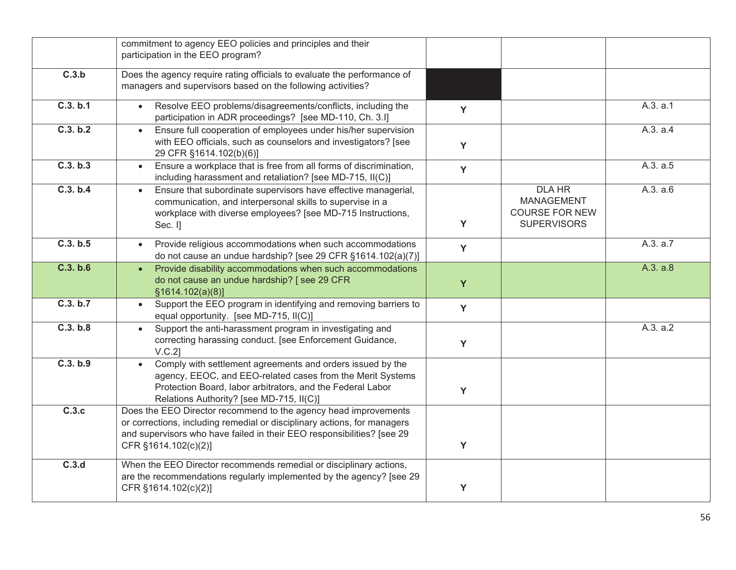|          | commitment to agency EEO policies and principles and their<br>participation in the EEO program?                                                                                                                                               |   |                                                                                   |          |
|----------|-----------------------------------------------------------------------------------------------------------------------------------------------------------------------------------------------------------------------------------------------|---|-----------------------------------------------------------------------------------|----------|
| C.3.b    | Does the agency require rating officials to evaluate the performance of<br>managers and supervisors based on the following activities?                                                                                                        |   |                                                                                   |          |
| C.3. b.1 | Resolve EEO problems/disagreements/conflicts, including the<br>participation in ADR proceedings? [see MD-110, Ch. 3.I]                                                                                                                        | Y |                                                                                   | A.3. a.1 |
| C.3. b.2 | Ensure full cooperation of employees under his/her supervision<br>$\bullet$<br>with EEO officials, such as counselors and investigators? [see<br>29 CFR §1614.102(b)(6)]                                                                      | Y |                                                                                   | A.3. a.4 |
| C.3. b.3 | Ensure a workplace that is free from all forms of discrimination,<br>$\bullet$<br>including harassment and retaliation? [see MD-715, II(C)]                                                                                                   | Y |                                                                                   | A.3. a.5 |
| C.3. b.4 | Ensure that subordinate supervisors have effective managerial,<br>$\bullet$<br>communication, and interpersonal skills to supervise in a<br>workplace with diverse employees? [see MD-715 Instructions,<br>Sec. I]                            | Y | <b>DLA HR</b><br><b>MANAGEMENT</b><br><b>COURSE FOR NEW</b><br><b>SUPERVISORS</b> | A.3. a.6 |
| C.3. b.5 | Provide religious accommodations when such accommodations<br>do not cause an undue hardship? [see 29 CFR §1614.102(a)(7)]                                                                                                                     | Y |                                                                                   | A.3. a.7 |
| C.3. b.6 | Provide disability accommodations when such accommodations<br>$\bullet$<br>do not cause an undue hardship? [see 29 CFR<br>§1614.102(a)(8)]                                                                                                    | Y |                                                                                   | A.3. a.8 |
| C.3. b.7 | Support the EEO program in identifying and removing barriers to<br>$\bullet$<br>equal opportunity. [see MD-715, II(C)]                                                                                                                        | Y |                                                                                   |          |
| C.3. b.8 | Support the anti-harassment program in investigating and<br>$\bullet$<br>correcting harassing conduct. [see Enforcement Guidance,<br>$V.C.2$ ]                                                                                                | Y |                                                                                   | A.3. a.2 |
| C.3. b.9 | Comply with settlement agreements and orders issued by the<br>agency, EEOC, and EEO-related cases from the Merit Systems<br>Protection Board, labor arbitrators, and the Federal Labor<br>Relations Authority? [see MD-715, II(C)]            | Y |                                                                                   |          |
| C.3.c    | Does the EEO Director recommend to the agency head improvements<br>or corrections, including remedial or disciplinary actions, for managers<br>and supervisors who have failed in their EEO responsibilities? [see 29<br>CFR §1614.102(c)(2)] | Y |                                                                                   |          |
| C.3.d    | When the EEO Director recommends remedial or disciplinary actions,<br>are the recommendations regularly implemented by the agency? [see 29<br>CFR §1614.102(c)(2)]                                                                            | Y |                                                                                   |          |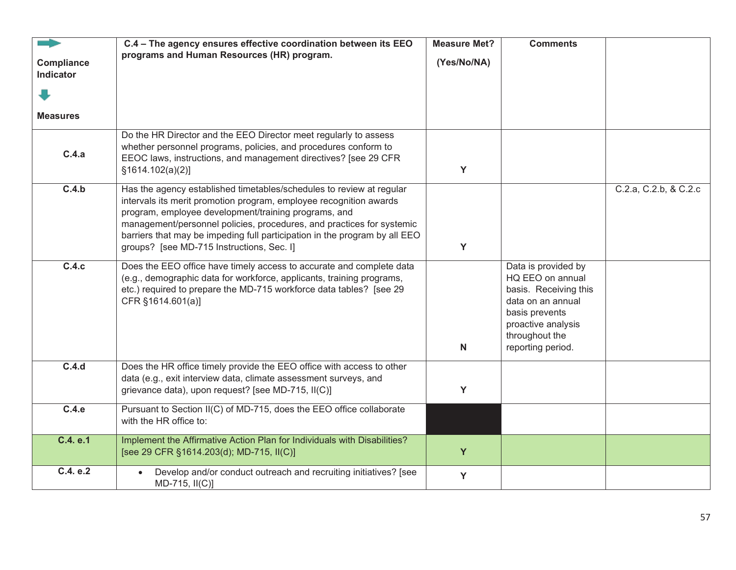| Compliance<br>Indicator | C.4 - The agency ensures effective coordination between its EEO<br>programs and Human Resources (HR) program.                                                                                                                                                                                                                                                                                          | <b>Measure Met?</b><br>(Yes/No/NA) | <b>Comments</b>                                                                                                                                                      |                       |
|-------------------------|--------------------------------------------------------------------------------------------------------------------------------------------------------------------------------------------------------------------------------------------------------------------------------------------------------------------------------------------------------------------------------------------------------|------------------------------------|----------------------------------------------------------------------------------------------------------------------------------------------------------------------|-----------------------|
|                         |                                                                                                                                                                                                                                                                                                                                                                                                        |                                    |                                                                                                                                                                      |                       |
| <b>Measures</b>         |                                                                                                                                                                                                                                                                                                                                                                                                        |                                    |                                                                                                                                                                      |                       |
| C.4.a                   | Do the HR Director and the EEO Director meet regularly to assess<br>whether personnel programs, policies, and procedures conform to<br>EEOC laws, instructions, and management directives? [see 29 CFR<br>§1614.102(a)(2)]                                                                                                                                                                             | Y                                  |                                                                                                                                                                      |                       |
| C.4.b                   | Has the agency established timetables/schedules to review at regular<br>intervals its merit promotion program, employee recognition awards<br>program, employee development/training programs, and<br>management/personnel policies, procedures, and practices for systemic<br>barriers that may be impeding full participation in the program by all EEO<br>groups? [see MD-715 Instructions, Sec. I] | Y                                  |                                                                                                                                                                      | C.2.a, C.2.b, & C.2.c |
| C.4.c                   | Does the EEO office have timely access to accurate and complete data<br>(e.g., demographic data for workforce, applicants, training programs,<br>etc.) required to prepare the MD-715 workforce data tables? [see 29<br>CFR §1614.601(a)]                                                                                                                                                              | $\mathsf{N}$                       | Data is provided by<br>HQ EEO on annual<br>basis. Receiving this<br>data on an annual<br>basis prevents<br>proactive analysis<br>throughout the<br>reporting period. |                       |
| C.4.d                   | Does the HR office timely provide the EEO office with access to other<br>data (e.g., exit interview data, climate assessment surveys, and<br>grievance data), upon request? [see MD-715, II(C)]                                                                                                                                                                                                        | Y                                  |                                                                                                                                                                      |                       |
| C.4.e                   | Pursuant to Section II(C) of MD-715, does the EEO office collaborate<br>with the HR office to:                                                                                                                                                                                                                                                                                                         |                                    |                                                                                                                                                                      |                       |
| C.4. e.1                | Implement the Affirmative Action Plan for Individuals with Disabilities?<br>[see 29 CFR §1614.203(d); MD-715, II(C)]                                                                                                                                                                                                                                                                                   | Y                                  |                                                                                                                                                                      |                       |
| C.4. e.2                | Develop and/or conduct outreach and recruiting initiatives? [see<br>$MD-715, II(C)]$                                                                                                                                                                                                                                                                                                                   | Y                                  |                                                                                                                                                                      |                       |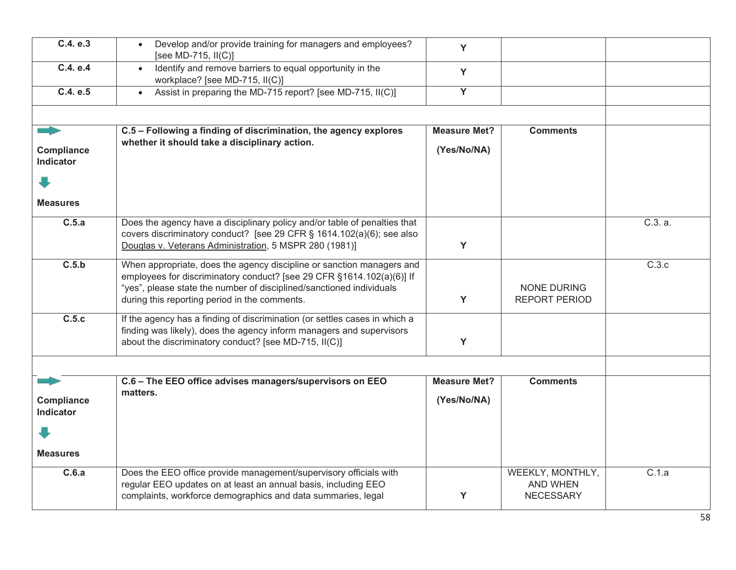| C.4. e.3                       | Develop and/or provide training for managers and employees?<br>[see MD-715, II(C)]                                                                                                                                                                                      | Y                   |                                                  |         |
|--------------------------------|-------------------------------------------------------------------------------------------------------------------------------------------------------------------------------------------------------------------------------------------------------------------------|---------------------|--------------------------------------------------|---------|
| C.4. e.4                       | Identify and remove barriers to equal opportunity in the<br>$\bullet$<br>workplace? [see MD-715, II(C)]                                                                                                                                                                 | Y                   |                                                  |         |
| C.4. e.5                       | Assist in preparing the MD-715 report? [see MD-715, II(C)]<br>$\bullet$                                                                                                                                                                                                 | $\overline{Y}$      |                                                  |         |
|                                |                                                                                                                                                                                                                                                                         |                     |                                                  |         |
| <u>andro</u>                   | C.5 - Following a finding of discrimination, the agency explores<br>whether it should take a disciplinary action.                                                                                                                                                       | <b>Measure Met?</b> | <b>Comments</b>                                  |         |
| Compliance<br><b>Indicator</b> |                                                                                                                                                                                                                                                                         | (Yes/No/NA)         |                                                  |         |
|                                |                                                                                                                                                                                                                                                                         |                     |                                                  |         |
| <b>Measures</b>                |                                                                                                                                                                                                                                                                         |                     |                                                  |         |
| C.5.a                          | Does the agency have a disciplinary policy and/or table of penalties that<br>covers discriminatory conduct? [see 29 CFR § 1614.102(a)(6); see also<br>Douglas v. Veterans Administration, 5 MSPR 280 (1981)]                                                            | Y                   |                                                  | C.3. a. |
| C.5.b                          | When appropriate, does the agency discipline or sanction managers and<br>employees for discriminatory conduct? [see 29 CFR §1614.102(a)(6)] If<br>"yes", please state the number of disciplined/sanctioned individuals<br>during this reporting period in the comments. | Y                   | <b>NONE DURING</b><br><b>REPORT PERIOD</b>       | C.3.c   |
| C.5.c                          | If the agency has a finding of discrimination (or settles cases in which a<br>finding was likely), does the agency inform managers and supervisors<br>about the discriminatory conduct? [see MD-715, II(C)]                                                             | Y                   |                                                  |         |
|                                |                                                                                                                                                                                                                                                                         |                     |                                                  |         |
|                                | C.6 - The EEO office advises managers/supervisors on EEO<br>matters.                                                                                                                                                                                                    | <b>Measure Met?</b> | <b>Comments</b>                                  |         |
| Compliance<br>Indicator        |                                                                                                                                                                                                                                                                         | (Yes/No/NA)         |                                                  |         |
|                                |                                                                                                                                                                                                                                                                         |                     |                                                  |         |
| <b>Measures</b>                |                                                                                                                                                                                                                                                                         |                     |                                                  |         |
| C.6.a                          | Does the EEO office provide management/supervisory officials with<br>regular EEO updates on at least an annual basis, including EEO<br>complaints, workforce demographics and data summaries, legal                                                                     | Y                   | WEEKLY, MONTHLY,<br>AND WHEN<br><b>NECESSARY</b> | C.1.a   |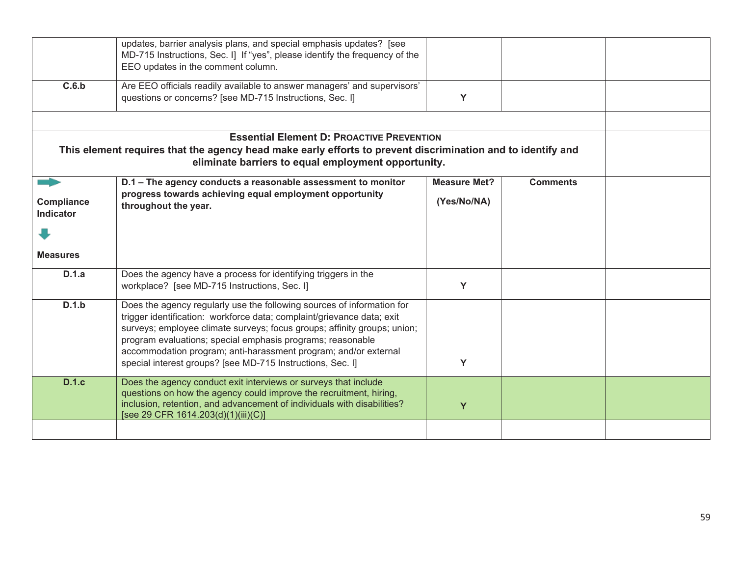|                         | updates, barrier analysis plans, and special emphasis updates? [see<br>MD-715 Instructions, Sec. I] If "yes", please identify the frequency of the<br>EEO updates in the comment column.                                                                                                                                                                                                                                    |                     |                 |  |
|-------------------------|-----------------------------------------------------------------------------------------------------------------------------------------------------------------------------------------------------------------------------------------------------------------------------------------------------------------------------------------------------------------------------------------------------------------------------|---------------------|-----------------|--|
| C.6.b                   | Are EEO officials readily available to answer managers' and supervisors'<br>questions or concerns? [see MD-715 Instructions, Sec. I]                                                                                                                                                                                                                                                                                        | Y                   |                 |  |
|                         |                                                                                                                                                                                                                                                                                                                                                                                                                             |                     |                 |  |
|                         | <b>Essential Element D: PROACTIVE PREVENTION</b>                                                                                                                                                                                                                                                                                                                                                                            |                     |                 |  |
|                         | This element requires that the agency head make early efforts to prevent discrimination and to identify and<br>eliminate barriers to equal employment opportunity.                                                                                                                                                                                                                                                          |                     |                 |  |
|                         | D.1 - The agency conducts a reasonable assessment to monitor                                                                                                                                                                                                                                                                                                                                                                | <b>Measure Met?</b> | <b>Comments</b> |  |
| Compliance<br>Indicator | progress towards achieving equal employment opportunity<br>throughout the year.                                                                                                                                                                                                                                                                                                                                             | (Yes/No/NA)         |                 |  |
|                         |                                                                                                                                                                                                                                                                                                                                                                                                                             |                     |                 |  |
| <b>Measures</b>         |                                                                                                                                                                                                                                                                                                                                                                                                                             |                     |                 |  |
| D.1.a                   | Does the agency have a process for identifying triggers in the<br>workplace? [see MD-715 Instructions, Sec. I]                                                                                                                                                                                                                                                                                                              | Y                   |                 |  |
| D.1.b                   | Does the agency regularly use the following sources of information for<br>trigger identification: workforce data; complaint/grievance data; exit<br>surveys; employee climate surveys; focus groups; affinity groups; union;<br>program evaluations; special emphasis programs; reasonable<br>accommodation program; anti-harassment program; and/or external<br>special interest groups? [see MD-715 Instructions, Sec. I] | Y                   |                 |  |
| <b>D.1.c</b>            | Does the agency conduct exit interviews or surveys that include<br>questions on how the agency could improve the recruitment, hiring,<br>inclusion, retention, and advancement of individuals with disabilities?<br>[see 29 CFR 1614.203(d)(1)(iii)(C)]                                                                                                                                                                     | Y                   |                 |  |
|                         |                                                                                                                                                                                                                                                                                                                                                                                                                             |                     |                 |  |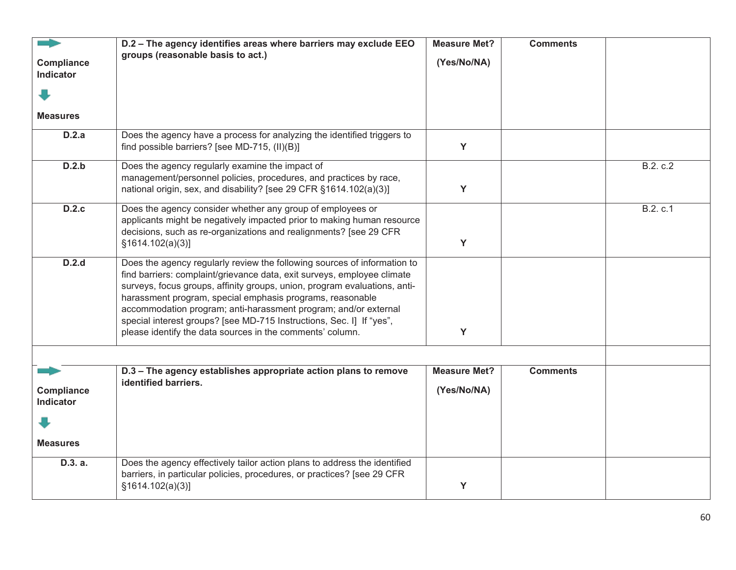|                                | D.2 - The agency identifies areas where barriers may exclude EEO<br>groups (reasonable basis to act.)                                                                                                                                                                                                                                                                                                                                                                                                 | <b>Measure Met?</b><br>(Yes/No/NA) | <b>Comments</b> |          |
|--------------------------------|-------------------------------------------------------------------------------------------------------------------------------------------------------------------------------------------------------------------------------------------------------------------------------------------------------------------------------------------------------------------------------------------------------------------------------------------------------------------------------------------------------|------------------------------------|-----------------|----------|
| Compliance<br><b>Indicator</b> |                                                                                                                                                                                                                                                                                                                                                                                                                                                                                                       |                                    |                 |          |
|                                |                                                                                                                                                                                                                                                                                                                                                                                                                                                                                                       |                                    |                 |          |
| <b>Measures</b>                |                                                                                                                                                                                                                                                                                                                                                                                                                                                                                                       |                                    |                 |          |
| D.2.a                          | Does the agency have a process for analyzing the identified triggers to<br>find possible barriers? [see MD-715, (II)(B)]                                                                                                                                                                                                                                                                                                                                                                              | Y                                  |                 |          |
| D.2.b                          | Does the agency regularly examine the impact of<br>management/personnel policies, procedures, and practices by race,<br>national origin, sex, and disability? [see 29 CFR §1614.102(a)(3)]                                                                                                                                                                                                                                                                                                            | Y                                  |                 | B.2. c.2 |
| D.2.c                          | Does the agency consider whether any group of employees or<br>applicants might be negatively impacted prior to making human resource<br>decisions, such as re-organizations and realignments? [see 29 CFR<br>§1614.102(a)(3)]                                                                                                                                                                                                                                                                         | Y                                  |                 | B.2. c.1 |
| D.2.d                          | Does the agency regularly review the following sources of information to<br>find barriers: complaint/grievance data, exit surveys, employee climate<br>surveys, focus groups, affinity groups, union, program evaluations, anti-<br>harassment program, special emphasis programs, reasonable<br>accommodation program; anti-harassment program; and/or external<br>special interest groups? [see MD-715 Instructions, Sec. I] If "yes",<br>please identify the data sources in the comments' column. | Y                                  |                 |          |
|                                |                                                                                                                                                                                                                                                                                                                                                                                                                                                                                                       |                                    |                 |          |
| Compliance<br>Indicator        | D.3 - The agency establishes appropriate action plans to remove<br>identified barriers.                                                                                                                                                                                                                                                                                                                                                                                                               | <b>Measure Met?</b><br>(Yes/No/NA) | <b>Comments</b> |          |
|                                |                                                                                                                                                                                                                                                                                                                                                                                                                                                                                                       |                                    |                 |          |
| <b>Measures</b>                |                                                                                                                                                                                                                                                                                                                                                                                                                                                                                                       |                                    |                 |          |
| D.3. a.                        | Does the agency effectively tailor action plans to address the identified<br>barriers, in particular policies, procedures, or practices? [see 29 CFR<br>§1614.102(a)(3)]                                                                                                                                                                                                                                                                                                                              | Y                                  |                 |          |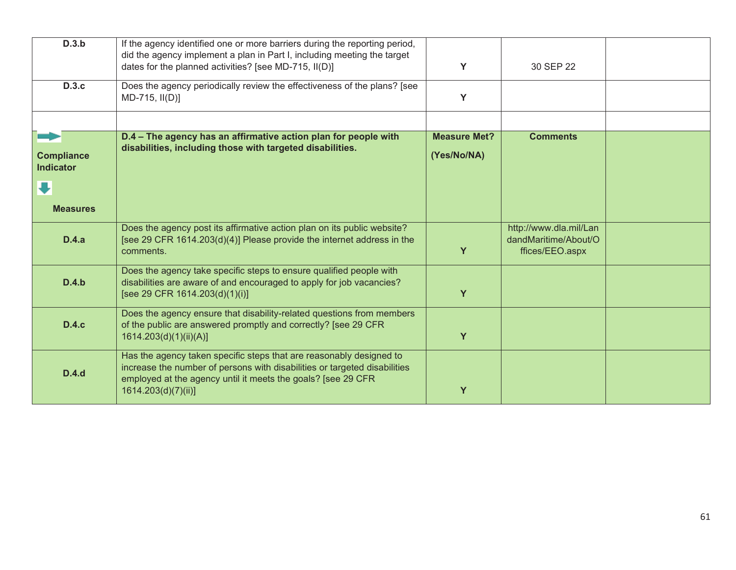| D.3.b                                      | If the agency identified one or more barriers during the reporting period,<br>did the agency implement a plan in Part I, including meeting the target<br>dates for the planned activities? [see MD-715, II(D)]                          | Y                                  | 30 SEP 22                                                         |  |
|--------------------------------------------|-----------------------------------------------------------------------------------------------------------------------------------------------------------------------------------------------------------------------------------------|------------------------------------|-------------------------------------------------------------------|--|
| <b>D.3.c</b>                               | Does the agency periodically review the effectiveness of the plans? [see<br>$MD-715, II(D)]$                                                                                                                                            | Y                                  |                                                                   |  |
|                                            |                                                                                                                                                                                                                                         |                                    |                                                                   |  |
| ➡<br><b>Compliance</b><br><b>Indicator</b> | D.4 - The agency has an affirmative action plan for people with<br>disabilities, including those with targeted disabilities.                                                                                                            | <b>Measure Met?</b><br>(Yes/No/NA) | <b>Comments</b>                                                   |  |
|                                            |                                                                                                                                                                                                                                         |                                    |                                                                   |  |
| <b>Measures</b>                            |                                                                                                                                                                                                                                         |                                    |                                                                   |  |
| D.4.a                                      | Does the agency post its affirmative action plan on its public website?<br>[see 29 CFR 1614.203(d)(4)] Please provide the internet address in the<br>comments.                                                                          | Y                                  | http://www.dla.mil/Lan<br>dandMaritime/About/O<br>ffices/EEO.aspx |  |
| D.4.b                                      | Does the agency take specific steps to ensure qualified people with<br>disabilities are aware of and encouraged to apply for job vacancies?<br>[see 29 CFR 1614.203(d)(1)(i)]                                                           | Y                                  |                                                                   |  |
| D.4.c                                      | Does the agency ensure that disability-related questions from members<br>of the public are answered promptly and correctly? [see 29 CFR<br>1614.203(d)(1)(ii)(A)]                                                                       | Y                                  |                                                                   |  |
| D.4.d                                      | Has the agency taken specific steps that are reasonably designed to<br>increase the number of persons with disabilities or targeted disabilities<br>employed at the agency until it meets the goals? [see 29 CFR<br>1614.203(d)(7)(ii)] | Y                                  |                                                                   |  |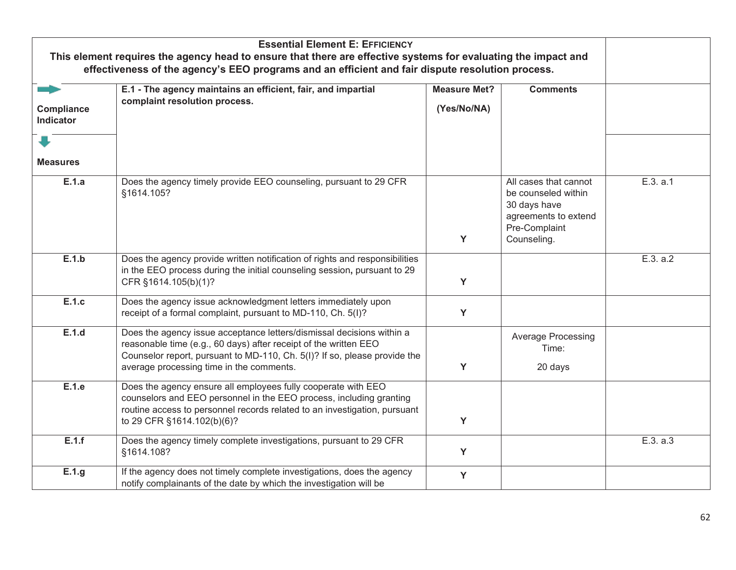| This element requires the agency head to ensure that there are effective systems for evaluating the impact and |                                                                                                                                                                                                                                                                    |                                    |                                                                                                                      |          |
|----------------------------------------------------------------------------------------------------------------|--------------------------------------------------------------------------------------------------------------------------------------------------------------------------------------------------------------------------------------------------------------------|------------------------------------|----------------------------------------------------------------------------------------------------------------------|----------|
|                                                                                                                | effectiveness of the agency's EEO programs and an efficient and fair dispute resolution process.                                                                                                                                                                   |                                    |                                                                                                                      |          |
| Compliance<br>Indicator                                                                                        | E.1 - The agency maintains an efficient, fair, and impartial<br>complaint resolution process.                                                                                                                                                                      | <b>Measure Met?</b><br>(Yes/No/NA) | <b>Comments</b>                                                                                                      |          |
|                                                                                                                |                                                                                                                                                                                                                                                                    |                                    |                                                                                                                      |          |
| <b>Measures</b>                                                                                                |                                                                                                                                                                                                                                                                    |                                    |                                                                                                                      |          |
| E.1.a                                                                                                          | Does the agency timely provide EEO counseling, pursuant to 29 CFR<br>§1614.105?                                                                                                                                                                                    | Y                                  | All cases that cannot<br>be counseled within<br>30 days have<br>agreements to extend<br>Pre-Complaint<br>Counseling. | E.3. a.1 |
| E.1.b                                                                                                          | Does the agency provide written notification of rights and responsibilities<br>in the EEO process during the initial counseling session, pursuant to 29<br>CFR §1614.105(b)(1)?                                                                                    | Y                                  |                                                                                                                      | E.3. a.2 |
| E.1.c                                                                                                          | Does the agency issue acknowledgment letters immediately upon<br>receipt of a formal complaint, pursuant to MD-110, Ch. 5(I)?                                                                                                                                      | Y                                  |                                                                                                                      |          |
| E.1.d                                                                                                          | Does the agency issue acceptance letters/dismissal decisions within a<br>reasonable time (e.g., 60 days) after receipt of the written EEO<br>Counselor report, pursuant to MD-110, Ch. 5(I)? If so, please provide the<br>average processing time in the comments. | Y                                  | Average Processing<br>Time:<br>20 days                                                                               |          |
| E.1.e                                                                                                          | Does the agency ensure all employees fully cooperate with EEO<br>counselors and EEO personnel in the EEO process, including granting<br>routine access to personnel records related to an investigation, pursuant<br>to 29 CFR §1614.102(b)(6)?                    | Y                                  |                                                                                                                      |          |
| E.1.f                                                                                                          | Does the agency timely complete investigations, pursuant to 29 CFR<br>§1614.108?                                                                                                                                                                                   | Y                                  |                                                                                                                      | E.3. a.3 |
| E.1.g                                                                                                          | If the agency does not timely complete investigations, does the agency<br>notify complainants of the date by which the investigation will be                                                                                                                       | Y                                  |                                                                                                                      |          |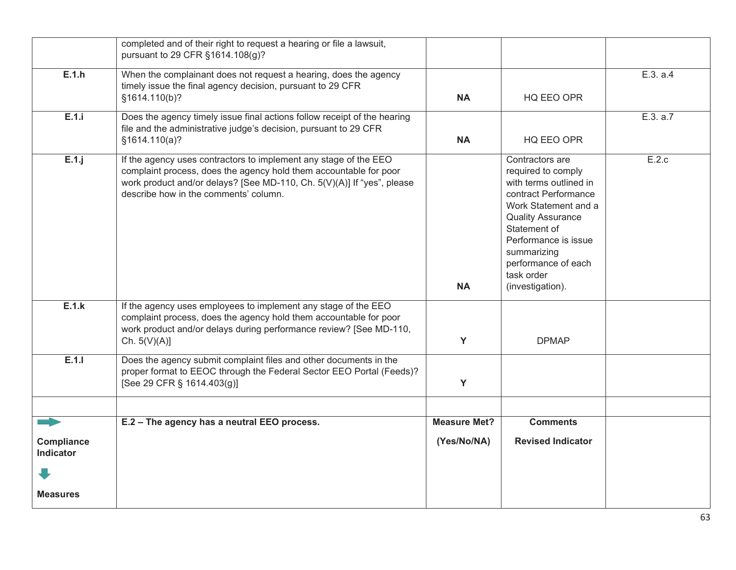|                                | completed and of their right to request a hearing or file a lawsuit,<br>pursuant to 29 CFR §1614.108(g)?                                                                                                                                                 |                     |                                                                                                                                                                                                                                                             |          |
|--------------------------------|----------------------------------------------------------------------------------------------------------------------------------------------------------------------------------------------------------------------------------------------------------|---------------------|-------------------------------------------------------------------------------------------------------------------------------------------------------------------------------------------------------------------------------------------------------------|----------|
| E.1.h                          | When the complainant does not request a hearing, does the agency<br>timely issue the final agency decision, pursuant to 29 CFR<br>§1614.110(b)?                                                                                                          | <b>NA</b>           | HQ EEO OPR                                                                                                                                                                                                                                                  | E.3. a.4 |
| E.1.i                          | Does the agency timely issue final actions follow receipt of the hearing<br>file and the administrative judge's decision, pursuant to 29 CFR<br>§1614.110(a)?                                                                                            | <b>NA</b>           | HQ EEO OPR                                                                                                                                                                                                                                                  | E.3. a.7 |
| $E.1.$ j                       | If the agency uses contractors to implement any stage of the EEO<br>complaint process, does the agency hold them accountable for poor<br>work product and/or delays? [See MD-110, Ch. 5(V)(A)] If "yes", please<br>describe how in the comments' column. | <b>NA</b>           | Contractors are<br>required to comply<br>with terms outlined in<br>contract Performance<br>Work Statement and a<br><b>Quality Assurance</b><br>Statement of<br>Performance is issue<br>summarizing<br>performance of each<br>task order<br>(investigation). | E.2.c    |
| E.1.k                          | If the agency uses employees to implement any stage of the EEO<br>complaint process, does the agency hold them accountable for poor<br>work product and/or delays during performance review? [See MD-110,<br>Ch. $5(V)(A)$ ]                             | Y                   | <b>DPMAP</b>                                                                                                                                                                                                                                                |          |
| E.1.1                          | Does the agency submit complaint files and other documents in the<br>proper format to EEOC through the Federal Sector EEO Portal (Feeds)?<br>[See 29 CFR § 1614.403(g)]                                                                                  | Y                   |                                                                                                                                                                                                                                                             |          |
|                                | E.2 - The agency has a neutral EEO process.                                                                                                                                                                                                              | <b>Measure Met?</b> | <b>Comments</b>                                                                                                                                                                                                                                             |          |
| Compliance<br><b>Indicator</b> |                                                                                                                                                                                                                                                          | (Yes/No/NA)         | <b>Revised Indicator</b>                                                                                                                                                                                                                                    |          |
|                                |                                                                                                                                                                                                                                                          |                     |                                                                                                                                                                                                                                                             |          |
| <b>Measures</b>                |                                                                                                                                                                                                                                                          |                     |                                                                                                                                                                                                                                                             |          |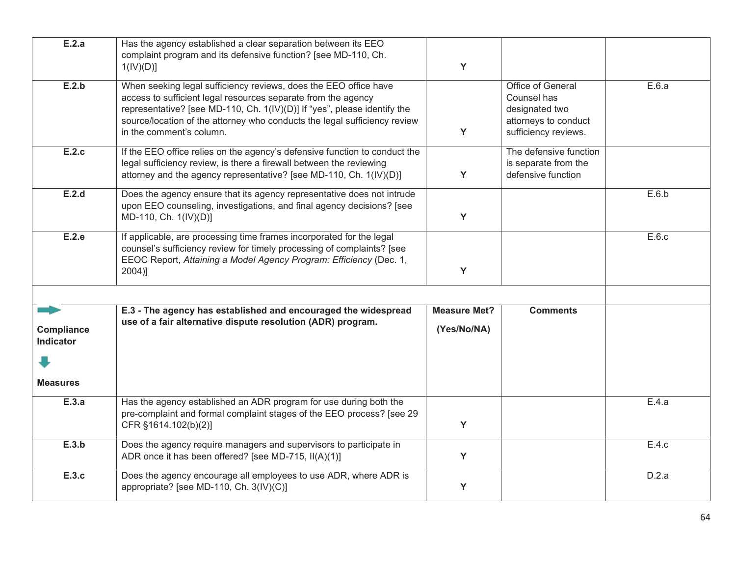| E.2.a                          | Has the agency established a clear separation between its EEO<br>complaint program and its defensive function? [see MD-110, Ch.<br>1(IV)(D)]                                                                                                                                                                           | Y                                  |                                                                                                    |       |
|--------------------------------|------------------------------------------------------------------------------------------------------------------------------------------------------------------------------------------------------------------------------------------------------------------------------------------------------------------------|------------------------------------|----------------------------------------------------------------------------------------------------|-------|
| E.2.b                          | When seeking legal sufficiency reviews, does the EEO office have<br>access to sufficient legal resources separate from the agency<br>representative? [see MD-110, Ch. 1(IV)(D)] If "yes", please identify the<br>source/location of the attorney who conducts the legal sufficiency review<br>in the comment's column. | Y                                  | Office of General<br>Counsel has<br>designated two<br>attorneys to conduct<br>sufficiency reviews. | E.6.a |
| E.2.c                          | If the EEO office relies on the agency's defensive function to conduct the<br>legal sufficiency review, is there a firewall between the reviewing<br>attorney and the agency representative? [see MD-110, Ch. 1(IV)(D)]                                                                                                | Y                                  | The defensive function<br>is separate from the<br>defensive function                               |       |
| E.2.d                          | Does the agency ensure that its agency representative does not intrude<br>upon EEO counseling, investigations, and final agency decisions? [see<br>MD-110, Ch. 1(IV)(D)]                                                                                                                                               | Y                                  |                                                                                                    | E.6.b |
| E.2.e                          | If applicable, are processing time frames incorporated for the legal<br>counsel's sufficiency review for timely processing of complaints? [see<br>EEOC Report, Attaining a Model Agency Program: Efficiency (Dec. 1,<br>$2004$ ]                                                                                       | Y                                  |                                                                                                    | E.6.c |
|                                |                                                                                                                                                                                                                                                                                                                        |                                    |                                                                                                    |       |
| Compliance<br><b>Indicator</b> | E.3 - The agency has established and encouraged the widespread<br>use of a fair alternative dispute resolution (ADR) program.                                                                                                                                                                                          | <b>Measure Met?</b><br>(Yes/No/NA) | <b>Comments</b>                                                                                    |       |
| <b>Measures</b>                |                                                                                                                                                                                                                                                                                                                        |                                    |                                                                                                    |       |
| E.3.a                          | Has the agency established an ADR program for use during both the<br>pre-complaint and formal complaint stages of the EEO process? [see 29<br>CFR §1614.102(b)(2)]                                                                                                                                                     | Y                                  |                                                                                                    | E.4.a |
| E.3.b                          | Does the agency require managers and supervisors to participate in<br>ADR once it has been offered? [see MD-715, II(A)(1)]                                                                                                                                                                                             | Y                                  |                                                                                                    | E.4.c |
| E.3.c                          | Does the agency encourage all employees to use ADR, where ADR is<br>appropriate? [see MD-110, Ch. 3(IV)(C)]                                                                                                                                                                                                            | Y                                  |                                                                                                    | D.2.a |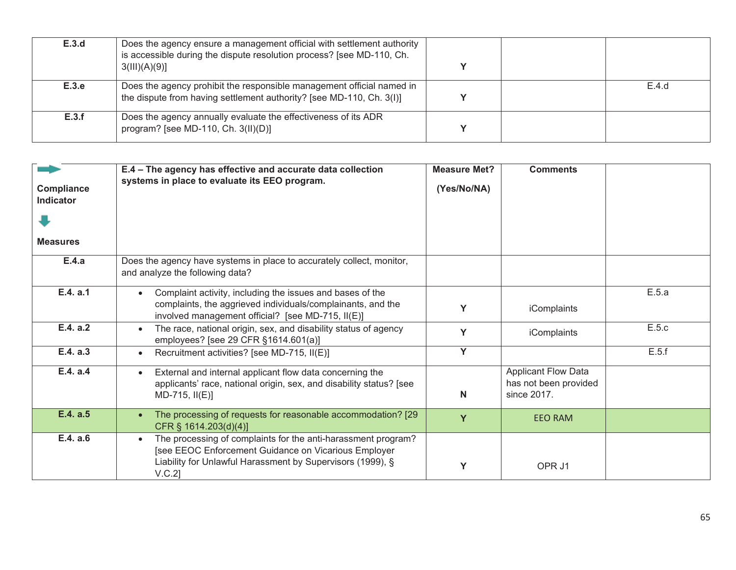| E.3.d | Does the agency ensure a management official with settlement authority<br>is accessible during the dispute resolution process? [see MD-110, Ch.<br>3(III)(A)(9)] |  |       |
|-------|------------------------------------------------------------------------------------------------------------------------------------------------------------------|--|-------|
| E.3.e | Does the agency prohibit the responsible management official named in<br>the dispute from having settlement authority? [see MD-110, Ch. 3(I)]                    |  | E.4.d |
| E.3.f | Does the agency annually evaluate the effectiveness of its ADR<br>program? [see MD-110, Ch. $3(II)(D)$ ]                                                         |  |       |

| <b>Compliance</b><br><b>Indicator</b><br><b>Measures</b> | E.4 - The agency has effective and accurate data collection<br>systems in place to evaluate its EEO program.                                                                                     | <b>Measure Met?</b><br>(Yes/No/NA) | <b>Comments</b>                                                    |       |
|----------------------------------------------------------|--------------------------------------------------------------------------------------------------------------------------------------------------------------------------------------------------|------------------------------------|--------------------------------------------------------------------|-------|
| E.4.a                                                    | Does the agency have systems in place to accurately collect, monitor,<br>and analyze the following data?                                                                                         |                                    |                                                                    |       |
| E.4. a.1                                                 | Complaint activity, including the issues and bases of the<br>complaints, the aggrieved individuals/complainants, and the<br>involved management official? [see MD-715, II(E)]                    | Y                                  | iComplaints                                                        | E.5.a |
| E.4. a.2                                                 | The race, national origin, sex, and disability status of agency<br>employees? [see 29 CFR §1614.601(a)]                                                                                          | Y                                  | iComplaints                                                        | E.5.c |
| E.4. a.3                                                 | Recruitment activities? [see MD-715, II(E)]                                                                                                                                                      | Y                                  |                                                                    | E.5.f |
| E.4. a.4                                                 | External and internal applicant flow data concerning the<br>$\bullet$<br>applicants' race, national origin, sex, and disability status? [see<br>$MD-715, II(E)$                                  | N                                  | <b>Applicant Flow Data</b><br>has not been provided<br>since 2017. |       |
| E.4. a.5                                                 | The processing of requests for reasonable accommodation? [29<br>CFR § 1614.203(d)(4)]                                                                                                            | Y                                  | <b>EEO RAM</b>                                                     |       |
| E.4. a.6                                                 | The processing of complaints for the anti-harassment program?<br>[see EEOC Enforcement Guidance on Vicarious Employer<br>Liability for Unlawful Harassment by Supervisors (1999), §<br>$V.C.2$ ] | Υ                                  | OPR J1                                                             |       |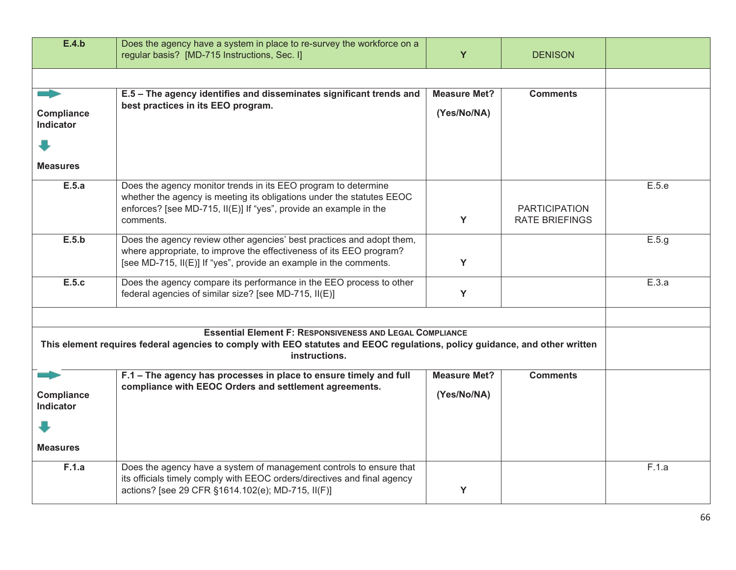| E.4.b                                                                                                                                                                                                           | Does the agency have a system in place to re-survey the workforce on a<br>regular basis? [MD-715 Instructions, Sec. I]                                                                                                    | Y                   | <b>DENISON</b>                                |       |  |
|-----------------------------------------------------------------------------------------------------------------------------------------------------------------------------------------------------------------|---------------------------------------------------------------------------------------------------------------------------------------------------------------------------------------------------------------------------|---------------------|-----------------------------------------------|-------|--|
|                                                                                                                                                                                                                 |                                                                                                                                                                                                                           |                     |                                               |       |  |
|                                                                                                                                                                                                                 | E.5 - The agency identifies and disseminates significant trends and                                                                                                                                                       | <b>Measure Met?</b> | <b>Comments</b>                               |       |  |
| Compliance<br><b>Indicator</b>                                                                                                                                                                                  | best practices in its EEO program.                                                                                                                                                                                        | (Yes/No/NA)         |                                               |       |  |
|                                                                                                                                                                                                                 |                                                                                                                                                                                                                           |                     |                                               |       |  |
| <b>Measures</b>                                                                                                                                                                                                 |                                                                                                                                                                                                                           |                     |                                               |       |  |
| E.5.a                                                                                                                                                                                                           | Does the agency monitor trends in its EEO program to determine<br>whether the agency is meeting its obligations under the statutes EEOC<br>enforces? [see MD-715, II(E)] If "yes", provide an example in the<br>comments. | Y                   | <b>PARTICIPATION</b><br><b>RATE BRIEFINGS</b> | E.5.e |  |
| E.5.b                                                                                                                                                                                                           | Does the agency review other agencies' best practices and adopt them,<br>where appropriate, to improve the effectiveness of its EEO program?<br>[see MD-715, II(E)] If "yes", provide an example in the comments.         | Y                   |                                               | E.5.g |  |
| E.5.c                                                                                                                                                                                                           | Does the agency compare its performance in the EEO process to other<br>federal agencies of similar size? [see MD-715, II(E)]                                                                                              | Y                   |                                               | E.3.a |  |
| <b>Essential Element F: RESPONSIVENESS AND LEGAL COMPLIANCE</b><br>This element requires federal agencies to comply with EEO statutes and EEOC regulations, policy guidance, and other written<br>instructions. |                                                                                                                                                                                                                           |                     |                                               |       |  |
|                                                                                                                                                                                                                 | F.1 - The agency has processes in place to ensure timely and full                                                                                                                                                         | <b>Measure Met?</b> | <b>Comments</b>                               |       |  |
| Compliance<br><b>Indicator</b>                                                                                                                                                                                  | compliance with EEOC Orders and settlement agreements.                                                                                                                                                                    | (Yes/No/NA)         |                                               |       |  |
|                                                                                                                                                                                                                 |                                                                                                                                                                                                                           |                     |                                               |       |  |
| <b>Measures</b>                                                                                                                                                                                                 |                                                                                                                                                                                                                           |                     |                                               |       |  |
| F.1.a                                                                                                                                                                                                           | Does the agency have a system of management controls to ensure that<br>its officials timely comply with EEOC orders/directives and final agency<br>actions? [see 29 CFR §1614.102(e); MD-715, II(F)]                      | Y                   |                                               | F.1.a |  |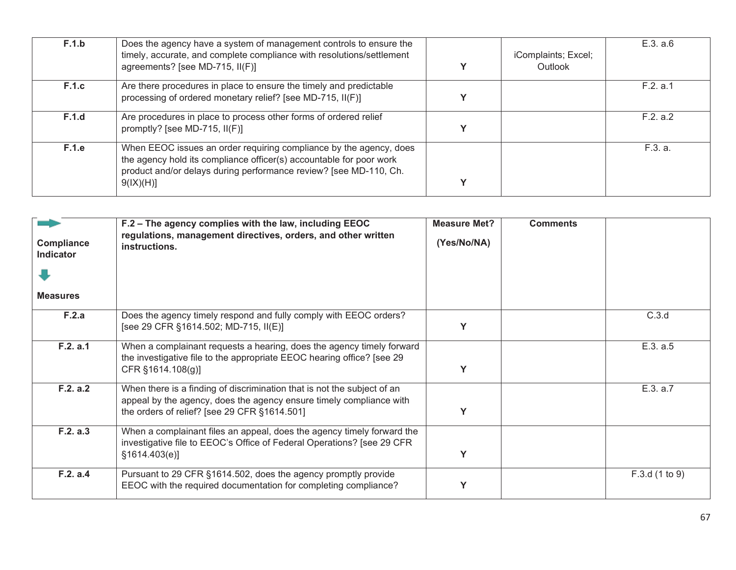| F.1.b        | Does the agency have a system of management controls to ensure the<br>timely, accurate, and complete compliance with resolutions/settlement<br>agreements? [see MD-715, II(F)]                                              | iComplaints; Excel;<br>Outlook | E.3. a.6 |
|--------------|-----------------------------------------------------------------------------------------------------------------------------------------------------------------------------------------------------------------------------|--------------------------------|----------|
| <b>F.1.c</b> | Are there procedures in place to ensure the timely and predictable<br>processing of ordered monetary relief? [see MD-715, II(F)]                                                                                            |                                | F.2. a.1 |
| F.1.d        | Are procedures in place to process other forms of ordered relief<br>promptly? [see MD-715, $I I(F)$ ]                                                                                                                       |                                | F.2. a.2 |
| F.1.e        | When EEOC issues an order requiring compliance by the agency, does<br>the agency hold its compliance officer(s) accountable for poor work<br>product and/or delays during performance review? [see MD-110, Ch.<br>9(IX)(H)] |                                | F.3. a.  |

| <b>Compliance</b><br><b>Indicator</b><br><b>Measures</b> | F.2 - The agency complies with the law, including EEOC<br>regulations, management directives, orders, and other written<br>instructions.                                                       | <b>Measure Met?</b><br>(Yes/No/NA) | <b>Comments</b> |                |
|----------------------------------------------------------|------------------------------------------------------------------------------------------------------------------------------------------------------------------------------------------------|------------------------------------|-----------------|----------------|
| F.2.a                                                    | Does the agency timely respond and fully comply with EEOC orders?<br>[see 29 CFR §1614.502; MD-715, II(E)]                                                                                     |                                    |                 | C.3.d          |
| F.2. a.1                                                 | When a complainant requests a hearing, does the agency timely forward<br>the investigative file to the appropriate EEOC hearing office? [see 29<br>CFR §1614.108(g)]                           | Υ                                  |                 | E.3. a.5       |
| F.2. a.2                                                 | When there is a finding of discrimination that is not the subject of an<br>appeal by the agency, does the agency ensure timely compliance with<br>the orders of relief? [see 29 CFR §1614.501] | Υ                                  |                 | E.3. a.7       |
| F.2. a.3                                                 | When a complainant files an appeal, does the agency timely forward the<br>investigative file to EEOC's Office of Federal Operations? [see 29 CFR<br>\$1614.403(e)]                             | Y                                  |                 |                |
| F.2. a.4                                                 | Pursuant to 29 CFR §1614.502, does the agency promptly provide<br>EEOC with the required documentation for completing compliance?                                                              |                                    |                 | F.3.d (1 to 9) |